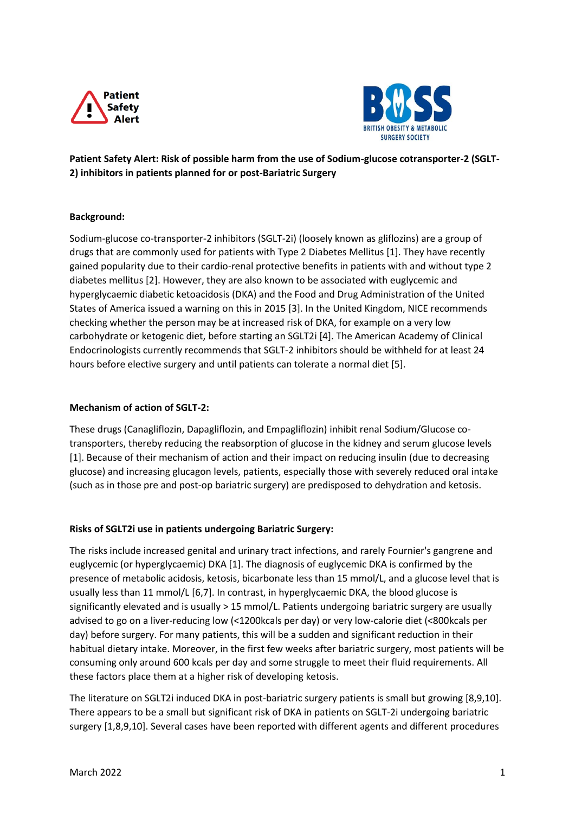



**Patient Safety Alert: Risk of possible harm from the use of Sodium-glucose cotransporter-2 (SGLT-2) inhibitors in patients planned for or post-Bariatric Surgery**

### **Background:**

Sodium-glucose co-transporter-2 inhibitors (SGLT-2i) (loosely known as gliflozins) are a group of drugs that are commonly used for patients with Type 2 Diabetes Mellitus [1]. They have recently gained popularity due to their cardio-renal protective benefits in patients with and without type 2 diabetes mellitus [2]. However, they are also known to be associated with euglycemic and hyperglycaemic diabetic ketoacidosis (DKA) and the Food and Drug Administration of the United States of America issued a warning on this in 2015 [3]. In the United Kingdom, NICE recommends checking whether the person may be at increased risk of DKA, for example on a very low carbohydrate or ketogenic diet, before starting an SGLT2i [4]. The American Academy of Clinical Endocrinologists currently recommends that SGLT-2 inhibitors should be withheld for at least 24 hours before elective surgery and until patients can tolerate a normal diet [5].

## **Mechanism of action of SGLT-2:**

These drugs (Canagliflozin, Dapagliflozin, and Empagliflozin) inhibit renal Sodium/Glucose cotransporters, thereby reducing the reabsorption of glucose in the kidney and serum glucose levels [1]. Because of their mechanism of action and their impact on reducing insulin (due to decreasing glucose) and increasing glucagon levels, patients, especially those with severely reduced oral intake (such as in those pre and post-op bariatric surgery) are predisposed to dehydration and ketosis.

### **Risks of SGLT2i use in patients undergoing Bariatric Surgery:**

The risks include increased genital and urinary tract infections, and rarely Fournier's gangrene and euglycemic (or hyperglycaemic) DKA [1]. The diagnosis of euglycemic DKA is confirmed by the presence of metabolic acidosis, ketosis, bicarbonate less than 15 mmol/L, and a glucose level that is usually less than 11 mmol/L [6,7]. In contrast, in hyperglycaemic DKA, the blood glucose is significantly elevated and is usually > 15 mmol/L. Patients undergoing bariatric surgery are usually advised to go on a liver-reducing low (<1200kcals per day) or very low-calorie diet (<800kcals per day) before surgery. For many patients, this will be a sudden and significant reduction in their habitual dietary intake. Moreover, in the first few weeks after bariatric surgery, most patients will be consuming only around 600 kcals per day and some struggle to meet their fluid requirements. All these factors place them at a higher risk of developing ketosis.

The literature on SGLT2i induced DKA in post-bariatric surgery patients is small but growing [8,9,10]. There appears to be a small but significant risk of DKA in patients on SGLT-2i undergoing bariatric surgery [1,8,9,10]. Several cases have been reported with different agents and different procedures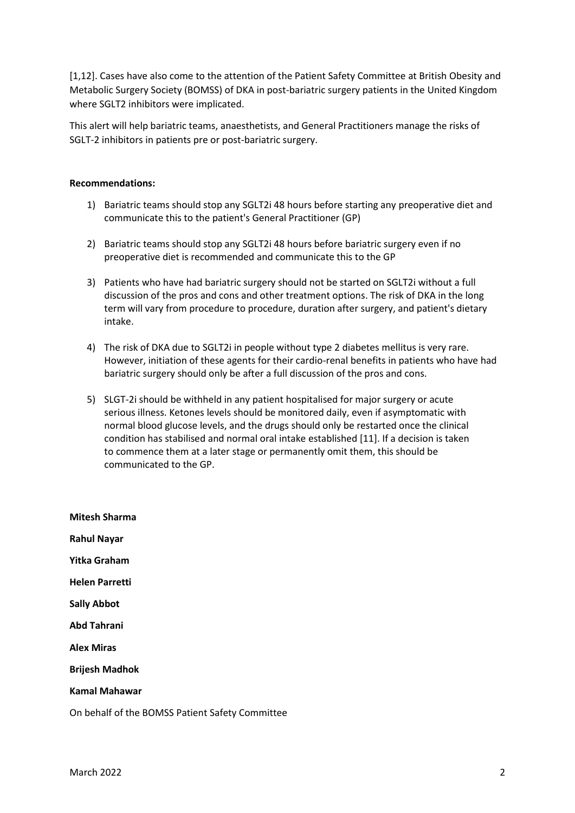[1,12]. Cases have also come to the attention of the Patient Safety Committee at British Obesity and Metabolic Surgery Society (BOMSS) of DKA in post-bariatric surgery patients in the United Kingdom where SGLT2 inhibitors were implicated.

This alert will help bariatric teams, anaesthetists, and General Practitioners manage the risks of SGLT-2 inhibitors in patients pre or post-bariatric surgery.

#### **Recommendations:**

- 1) Bariatric teams should stop any SGLT2i 48 hours before starting any preoperative diet and communicate this to the patient's General Practitioner (GP)
- 2) Bariatric teams should stop any SGLT2i 48 hours before bariatric surgery even if no preoperative diet is recommended and communicate this to the GP
- 3) Patients who have had bariatric surgery should not be started on SGLT2i without a full discussion of the pros and cons and other treatment options. The risk of DKA in the long term will vary from procedure to procedure, duration after surgery, and patient's dietary intake.
- 4) The risk of DKA due to SGLT2i in people without type 2 diabetes mellitus is very rare. However, initiation of these agents for their cardio-renal benefits in patients who have had bariatric surgery should only be after a full discussion of the pros and cons.
- 5) SLGT-2i should be withheld in any patient hospitalised for major surgery or acute serious illness. Ketones levels should be monitored daily, even if asymptomatic with normal blood glucose levels, and the drugs should only be restarted once the clinical condition has stabilised and normal oral intake established [11]. If a decision is taken to commence them at a later stage or permanently omit them, this should be communicated to the GP.

**Mitesh Sharma Rahul Nayar Yitka Graham Helen Parretti Sally Abbot Abd Tahrani Alex Miras Brijesh Madhok Kamal Mahawar**

On behalf of the BOMSS Patient Safety Committee